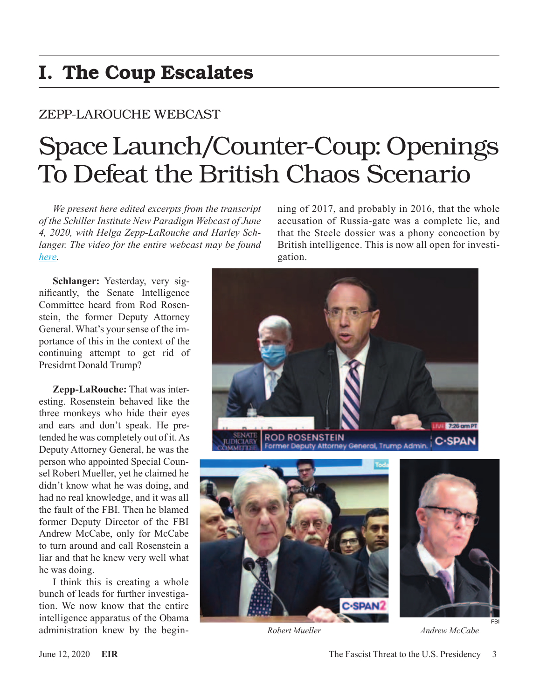## I. The Coup Escalates

### ZEPP-LAROUCHE WEBCAST

# Space Launch/Counter-Coup: Openings To Defeat the British Chaos Scenario

*We present here edited excerpts from the transcript of the Schiller Institute New Paradigm Webcast of June 4, 2020, with Helga Zepp-LaRouche and Harley Schlanger. The video for the entire webcast may be found [here](https://schillerinstitute.com/blog/2020/06/04/webcast-space-launchcounter-coup-openings-to-defeat-the-british-chaos-scenario/).*

**Schlanger:** Yesterday, very significantly, the Senate Intelligence Committee heard from Rod Rosenstein, the former Deputy Attorney General. What's your sense of the importance of this in the context of the continuing attempt to get rid of Presidrnt Donald Trump?

**Zepp-LaRouche:** That was interesting. Rosenstein behaved like the three monkeys who hide their eyes and ears and don't speak. He pretended he was completely out of it. As Deputy Attorney General, he was the person who appointed Special Counsel Robert Mueller, yet he claimed he didn't know what he was doing, and had no real knowledge, and it was all the fault of the FBI. Then he blamed former Deputy Director of the FBI Andrew McCabe, only for McCabe to turn around and call Rosenstein a liar and that he knew very well what he was doing.

I think this is creating a whole bunch of leads for further investigation. We now know that the entire intelligence apparatus of the Obama administration knew by the beginning of 2017, and probably in 2016, that the whole accusation of Russia-gate was a complete lie, and that the Steele dossier was a phony concoction by British intelligence. This is now all open for investigation.



*Robert Mueller Andrew McCabe*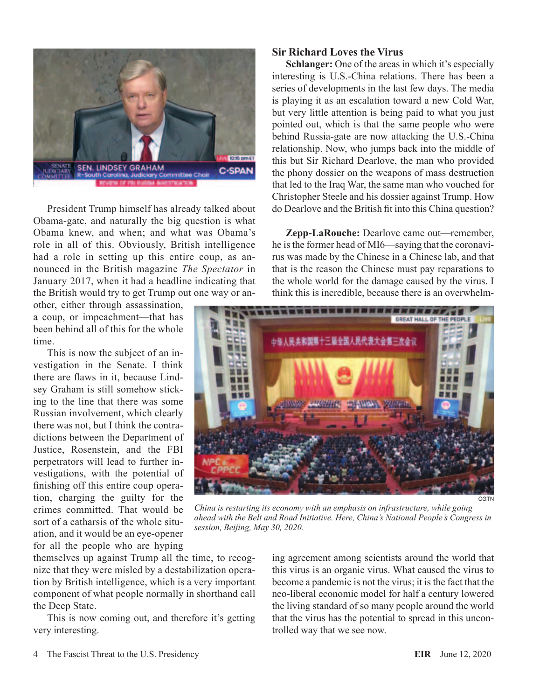

President Trump himself has already talked about Obama-gate, and naturally the big question is what Obama knew, and when; and what was Obama's role in all of this. Obviously, British intelligence had a role in setting up this entire coup, as announced in the British magazine *The Spectator* in January 2017, when it had a headline indicating that the British would try to get Trump out one way or an-

other, either through assassination, a coup, or impeachment—that has been behind all of this for the whole time.

This is now the subject of an investigation in the Senate. I think there are flaws in it, because Lindsey Graham is still somehow sticking to the line that there was some Russian involvement, which clearly there was not, but I think the contradictions between the Department of Justice, Rosenstein, and the FBI perpetrators will lead to further investigations, with the potential of finishing off this entire coup operation, charging the guilty for the crimes committed. That would be sort of a catharsis of the whole situation, and it would be an eye-opener for all the people who are hyping

themselves up against Trump all the time, to recognize that they were misled by a destabilization operation by British intelligence, which is a very important component of what people normally in shorthand call the Deep State.

This is now coming out, and therefore it's getting very interesting.

#### **Sir Richard Loves the Virus**

**Schlanger:** One of the areas in which it's especially interesting is U.S.-China relations. There has been a series of developments in the last few days. The media is playing it as an escalation toward a new Cold War, but very little attention is being paid to what you just pointed out, which is that the same people who were behind Russia-gate are now attacking the U.S.-China relationship. Now, who jumps back into the middle of this but Sir Richard Dearlove, the man who provided the phony dossier on the weapons of mass destruction that led to the Iraq War, the same man who vouched for Christopher Steele and his dossier against Trump. How do Dearlove and the British fit into this China question?

**Zepp-LaRouche:** Dearlove came out—remember, he is the former head of MI6—saying that the coronavirus was made by the Chinese in a Chinese lab, and that that is the reason the Chinese must pay reparations to the whole world for the damage caused by the virus. I think this is incredible, because there is an overwhelm-



*China is restarting its economy with an emphasis on infrastructure, while going ahead with the Belt and Road Initiative. Here, China's National People's Congress in session, Beijing, May 30, 2020.*

ing agreement among scientists around the world that this virus is an organic virus. What caused the virus to become a pandemic is not the virus; it is the fact that the neo-liberal economic model for half a century lowered the living standard of so many people around the world that the virus has the potential to spread in this uncontrolled way that we see now.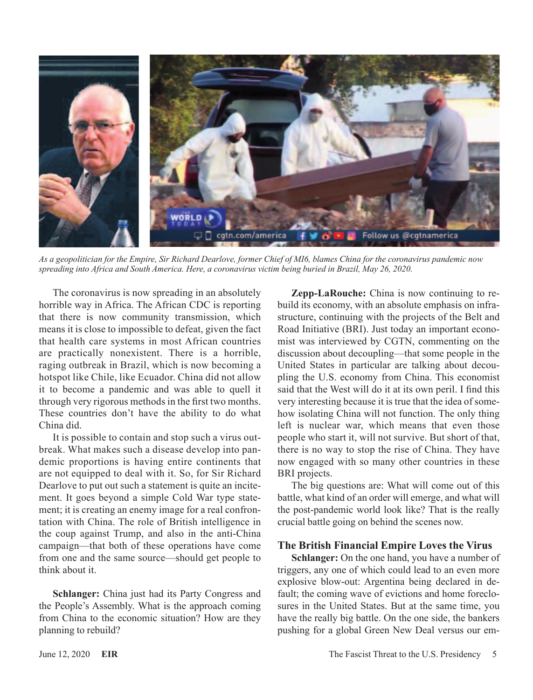

*As a geopolitician for the Empire, Sir Richard Dearlove, former Chief of MI6, blames China for the coronavirus pandemic now spreading into Africa and South America. Here, a coronavirus victim being buried in Brazil, May 26, 2020.*

The coronavirus is now spreading in an absolutely horrible way in Africa. The African CDC is reporting that there is now community transmission, which means it is close to impossible to defeat, given the fact that health care systems in most African countries are practically nonexistent. There is a horrible, raging outbreak in Brazil, which is now becoming a hotspot like Chile, like Ecuador. China did not allow it to become a pandemic and was able to quell it through very rigorous methods in the first two months. These countries don't have the ability to do what China did.

It is possible to contain and stop such a virus outbreak. What makes such a disease develop into pandemic proportions is having entire continents that are not equipped to deal with it. So, for Sir Richard Dearlove to put out such a statement is quite an incitement. It goes beyond a simple Cold War type statement; it is creating an enemy image for a real confrontation with China. The role of British intelligence in the coup against Trump, and also in the anti-China campaign—that both of these operations have come from one and the same source—should get people to think about it.

**Schlanger:** China just had its Party Congress and the People's Assembly. What is the approach coming from China to the economic situation? How are they planning to rebuild?

**Zepp-LaRouche:** China is now continuing to rebuild its economy, with an absolute emphasis on infrastructure, continuing with the projects of the Belt and Road Initiative (BRI). Just today an important economist was interviewed by CGTN, commenting on the discussion about decoupling—that some people in the United States in particular are talking about decoupling the U.S. economy from China. This economist said that the West will do it at its own peril. I find this very interesting because it is true that the idea of somehow isolating China will not function. The only thing left is nuclear war, which means that even those people who start it, will not survive. But short of that, there is no way to stop the rise of China. They have now engaged with so many other countries in these BRI projects.

The big questions are: What will come out of this battle, what kind of an order will emerge, and what will the post-pandemic world look like? That is the really crucial battle going on behind the scenes now.

#### **The British Financial Empire Loves the Virus**

**Schlanger:** On the one hand, you have a number of triggers, any one of which could lead to an even more explosive blow-out: Argentina being declared in default; the coming wave of evictions and home foreclosures in the United States. But at the same time, you have the really big battle. On the one side, the bankers pushing for a global Green New Deal versus our em-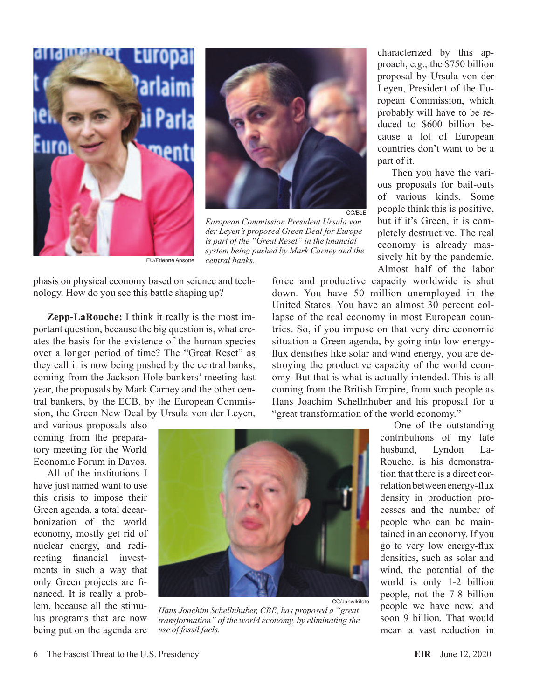



*European Commission President Ursula von der Leyen's proposed Green Deal for Europe is part of the "Great Reset" in the financial system being pushed by Mark Carney and the* EU/Etienne Ansotte *central banks.*

phasis on physical economy based on science and technology. How do you see this battle shaping up?

**Zepp-LaRouche:** I think it really is the most important question, because the big question is, what creates the basis for the existence of the human species over a longer period of time? The "Great Reset" as they call it is now being pushed by the central banks, coming from the Jackson Hole bankers' meeting last year, the proposals by Mark Carney and the other central bankers, by the ECB, by the European Commission, the Green New Deal by Ursula von der Leyen,

characterized by this approach, e.g., the \$750 billion proposal by Ursula von der Leyen, President of the European Commission, which probably will have to be reduced to \$600 billion because a lot of European countries don't want to be a part of it.

Then you have the various proposals for bail-outs of various kinds. Some people think this is positive, but if it's Green, it is completely destructive. The real economy is already massively hit by the pandemic. Almost half of the labor

force and productive capacity worldwide is shut down. You have 50 million unemployed in the United States. You have an almost 30 percent collapse of the real economy in most European countries. So, if you impose on that very dire economic situation a Green agenda, by going into low energyflux densities like solar and wind energy, you are destroying the productive capacity of the world economy. But that is what is actually intended. This is all coming from the British Empire, from such people as Hans Joachim Schellnhuber and his proposal for a "great transformation of the world economy."

and various proposals also coming from the preparatory meeting for the World Economic Forum in Davos.

All of the institutions I have just named want to use this crisis to impose their Green agenda, a total decarbonization of the world economy, mostly get rid of nuclear energy, and redirecting financial investments in such a way that only Green projects are financed. It is really a problem, because all the stimulus programs that are now being put on the agenda are



*Hans Joachim Schellnhuber, CBE, has proposed a "great transformation" of the world economy, by eliminating the use of fossil fuels.*

One of the outstanding contributions of my late husband, Lyndon La-Rouche, is his demonstration that there is a direct correlation between energy-flux density in production processes and the number of people who can be maintained in an economy. If you go to very low energy-flux densities, such as solar and wind, the potential of the world is only 1-2 billion people, not the 7-8 billion people we have now, and soon 9 billion. That would mean a vast reduction in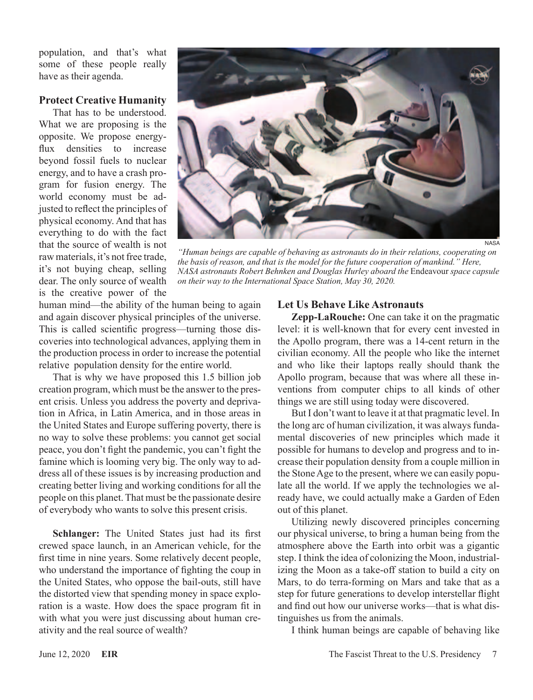population, and that's what some of these people really have as their agenda.

#### **Protect Creative Humanity**

That has to be understood. What we are proposing is the opposite. We propose energyflux densities to increase beyond fossil fuels to nuclear energy, and to have a crash program for fusion energy. The world economy must be adjusted to reflect the principles of physical economy. And that has everything to do with the fact that the source of wealth is not raw materials, it's not free trade, it's not buying cheap, selling dear. The only source of wealth is the creative power of the



*"Human beings are capable of behaving as astronauts do in their relations, cooperating on the basis of reason, and that is the model for the future cooperation of mankind." Here, NASA astronauts Robert Behnken and Douglas Hurley aboard the* Endeavour *space capsule on their way to the International Space Station, May 30, 2020.*

human mind—the ability of the human being to again and again discover physical principles of the universe. This is called scientific progress—turning those discoveries into technological advances, applying them in the production process in order to increase the potential relative population density for the entire world.

That is why we have proposed this 1.5 billion job creation program, which must be the answer to the present crisis. Unless you address the poverty and deprivation in Africa, in Latin America, and in those areas in the United States and Europe suffering poverty, there is no way to solve these problems: you cannot get social peace, you don't fight the pandemic, you can't fight the famine which is looming very big. The only way to address all of these issues is by increasing production and creating better living and working conditions for all the people on this planet. That must be the passionate desire of everybody who wants to solve this present crisis.

**Schlanger:** The United States just had its first crewed space launch, in an American vehicle, for the first time in nine years. Some relatively decent people, who understand the importance of fighting the coup in the United States, who oppose the bail-outs, still have the distorted view that spending money in space exploration is a waste. How does the space program fit in with what you were just discussing about human creativity and the real source of wealth?

#### **Let Us Behave Like Astronauts**

**Zepp-LaRouche:** One can take it on the pragmatic level: it is well-known that for every cent invested in the Apollo program, there was a 14-cent return in the civilian economy. All the people who like the internet and who like their laptops really should thank the Apollo program, because that was where all these inventions from computer chips to all kinds of other things we are still using today were discovered.

But I don't want to leave it at that pragmatic level. In the long arc of human civilization, it was always fundamental discoveries of new principles which made it possible for humans to develop and progress and to increase their population density from a couple million in the Stone Age to the present, where we can easily populate all the world. If we apply the technologies we already have, we could actually make a Garden of Eden out of this planet.

Utilizing newly discovered principles concerning our physical universe, to bring a human being from the atmosphere above the Earth into orbit was a gigantic step. I think the idea of colonizing the Moon, industrializing the Moon as a take-off station to build a city on Mars, to do terra-forming on Mars and take that as a step for future generations to develop interstellar flight and find out how our universe works—that is what distinguishes us from the animals.

I think human beings are capable of behaving like